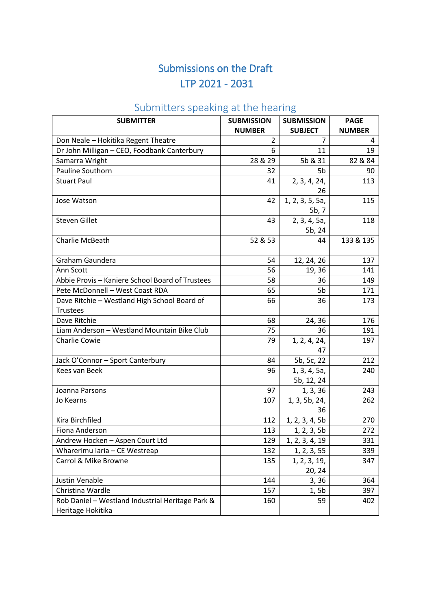## Submissions on the Draft LTP 2021 - 2031

## Submitters speaking at the hearing

| <b>SUBMITTER</b>                                                      | <b>SUBMISSION</b> | <b>SUBMISSION</b>          | <b>PAGE</b>   |
|-----------------------------------------------------------------------|-------------------|----------------------------|---------------|
|                                                                       | <b>NUMBER</b>     | <b>SUBJECT</b>             | <b>NUMBER</b> |
| Don Neale - Hokitika Regent Theatre                                   | $\overline{2}$    | $\overline{7}$             | 4             |
| Dr John Milligan - CEO, Foodbank Canterbury                           | 6                 | 11                         | 19            |
| Samarra Wright                                                        | 28 & 29           | 5b & 31                    | 82 & 84       |
| Pauline Southorn                                                      | 32                | 5b                         | 90            |
| <b>Stuart Paul</b>                                                    | 41                | 2, 3, 4, 24,<br>26         | 113           |
| Jose Watson                                                           | 42                | 1, 2, 3, 5, 5a,<br>5b, 7   | 115           |
| <b>Steven Gillet</b>                                                  | 43                | 2, 3, 4, 5a,<br>5b, 24     | 118           |
| Charlie McBeath                                                       | 52 & 53           | 44                         | 133 & 135     |
| Graham Gaundera                                                       | 54                | 12, 24, 26                 | 137           |
| Ann Scott                                                             | 56                | 19, 36                     | 141           |
| Abbie Provis - Kaniere School Board of Trustees                       | 58                | 36                         | 149           |
| Pete McDonnell - West Coast RDA                                       | 65                | 5b                         | 171           |
| Dave Ritchie - Westland High School Board of<br><b>Trustees</b>       | 66                | 36                         | 173           |
| Dave Ritchie                                                          | 68                | 24, 36                     | 176           |
| Liam Anderson - Westland Mountain Bike Club                           | 75                | 36                         | 191           |
| Charlie Cowie                                                         | 79                | 1, 2, 4, 24,<br>47         | 197           |
| Jack O'Connor - Sport Canterbury                                      | 84                | 5b, 5c, 22                 | 212           |
| Kees van Beek                                                         | 96                | 1, 3, 4, 5a,<br>5b, 12, 24 | 240           |
| Joanna Parsons                                                        | 97                | 1, 3, 36                   | 243           |
| Jo Kearns                                                             | 107               | 1, 3, 5b, 24,<br>36        | 262           |
| Kira Birchfiled                                                       | 112               | 1, 2, 3, 4, 5b             | 270           |
| Fiona Anderson                                                        | 113               | 1, 2, 3, 5b                | 272           |
| Andrew Hocken - Aspen Court Ltd                                       | 129               | 1, 2, 3, 4, 19             | 331           |
| Wharerimu Iaria - CE Westreap                                         | 132               | 1, 2, 3, 55                | 339           |
| Carrol & Mike Browne                                                  | 135               | 1, 2, 3, 19,<br>20, 24     | 347           |
| Justin Venable                                                        | 144               | 3, 36                      | 364           |
| Christina Wardle                                                      | 157               | 1, 5b                      | 397           |
| Rob Daniel - Westland Industrial Heritage Park &<br>Heritage Hokitika | 160               | 59                         | 402           |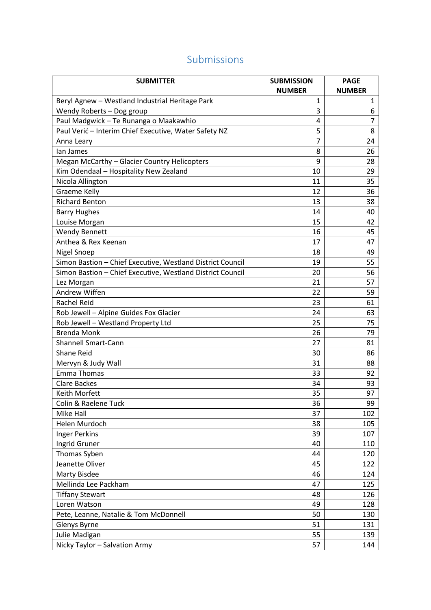## Submissions

| <b>SUBMITTER</b>                                           | <b>SUBMISSION</b> | <b>PAGE</b>    |
|------------------------------------------------------------|-------------------|----------------|
|                                                            | <b>NUMBER</b>     | <b>NUMBER</b>  |
| Beryl Agnew - Westland Industrial Heritage Park            | 1                 | 1              |
| Wendy Roberts - Dog group                                  | 3                 | 6              |
| Paul Madgwick - Te Runanga o Maakawhio                     | 4                 | $\overline{7}$ |
| Paul Verić - Interim Chief Executive, Water Safety NZ      | 5                 | 8              |
| Anna Leary                                                 | $\overline{7}$    | 24             |
| lan James                                                  | 8                 | 26             |
| Megan McCarthy - Glacier Country Helicopters               | 9                 | 28             |
| Kim Odendaal - Hospitality New Zealand                     | 10                | 29             |
| Nicola Allington                                           | 11                | 35             |
| <b>Graeme Kelly</b>                                        | 12                | 36             |
| <b>Richard Benton</b>                                      | 13                | 38             |
| <b>Barry Hughes</b>                                        | 14                | 40             |
| Louise Morgan                                              | 15                | 42             |
| <b>Wendy Bennett</b>                                       | 16                | 45             |
| Anthea & Rex Keenan                                        | 17                | 47             |
| <b>Nigel Snoep</b>                                         | 18                | 49             |
| Simon Bastion - Chief Executive, Westland District Council | 19                | 55             |
| Simon Bastion - Chief Executive, Westland District Council | 20                | 56             |
| Lez Morgan                                                 | 21                | 57             |
| Andrew Wiffen                                              | 22                | 59             |
| <b>Rachel Reid</b>                                         | 23                | 61             |
| Rob Jewell - Alpine Guides Fox Glacier                     | 24                | 63             |
| Rob Jewell - Westland Property Ltd                         | 25                | 75             |
| <b>Brenda Monk</b>                                         | 26                | 79             |
| <b>Shannell Smart-Cann</b>                                 | 27                | 81             |
| Shane Reid                                                 | 30                | 86             |
| Mervyn & Judy Wall                                         | 31                | 88             |
| <b>Emma Thomas</b>                                         | 33                | 92             |
| <b>Clare Backes</b>                                        | 34                | 93             |
| Keith Morfett                                              | 35                | 97             |
| Colin & Raelene Tuck                                       | 36                | 99             |
| Mike Hall                                                  | 37                | 102            |
| Helen Murdoch                                              | 38                | 105            |
| <b>Inger Perkins</b>                                       | 39                | 107            |
| Ingrid Gruner                                              | 40                | 110            |
| Thomas Syben                                               | 44                | 120            |
| Jeanette Oliver                                            | 45                | 122            |
| <b>Marty Bisdee</b>                                        | 46                | 124            |
| Mellinda Lee Packham                                       | 47                | 125            |
| <b>Tiffany Stewart</b>                                     | 48                | 126            |
| Loren Watson                                               | 49                | 128            |
| Pete, Leanne, Natalie & Tom McDonnell                      | 50                | 130            |
| Glenys Byrne                                               | 51                | 131            |
| Julie Madigan                                              | 55                | 139            |
| Nicky Taylor - Salvation Army                              | 57                | 144            |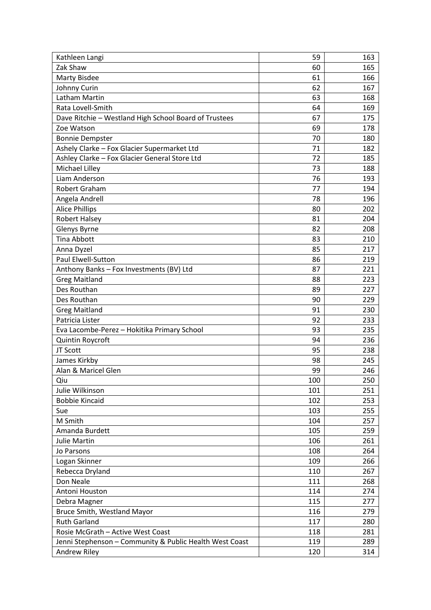| Kathleen Langi                                          | 59  | 163 |
|---------------------------------------------------------|-----|-----|
| Zak Shaw                                                | 60  | 165 |
| <b>Marty Bisdee</b>                                     | 61  | 166 |
| Johnny Curin                                            | 62  | 167 |
| Latham Martin                                           | 63  | 168 |
| Rata Lovell-Smith                                       | 64  | 169 |
| Dave Ritchie - Westland High School Board of Trustees   | 67  | 175 |
| Zoe Watson                                              | 69  | 178 |
| <b>Bonnie Dempster</b>                                  | 70  | 180 |
| Ashely Clarke - Fox Glacier Supermarket Ltd             | 71  | 182 |
| Ashley Clarke - Fox Glacier General Store Ltd           | 72  | 185 |
| Michael Lilley                                          | 73  | 188 |
| Liam Anderson                                           | 76  | 193 |
| Robert Graham                                           | 77  | 194 |
| Angela Andrell                                          | 78  | 196 |
| <b>Alice Phillips</b>                                   | 80  | 202 |
| <b>Robert Halsey</b>                                    | 81  | 204 |
| Glenys Byrne                                            | 82  | 208 |
| <b>Tina Abbott</b>                                      | 83  | 210 |
| Anna Dyzel                                              | 85  | 217 |
| Paul Elwell-Sutton                                      | 86  | 219 |
| Anthony Banks - Fox Investments (BV) Ltd                | 87  | 221 |
| <b>Greg Maitland</b>                                    | 88  | 223 |
| Des Routhan                                             | 89  | 227 |
| Des Routhan                                             | 90  | 229 |
| <b>Greg Maitland</b>                                    | 91  | 230 |
| Patricia Lister                                         | 92  | 233 |
| Eva Lacombe-Perez - Hokitika Primary School             | 93  | 235 |
| Quintin Roycroft                                        | 94  | 236 |
| JT Scott                                                | 95  | 238 |
| James Kirkby                                            | 98  | 245 |
| Alan & Maricel Glen                                     | 99  | 246 |
| Qiu                                                     | 100 | 250 |
| Julie Wilkinson                                         | 101 | 251 |
| <b>Bobbie Kincaid</b>                                   | 102 | 253 |
| Sue                                                     | 103 | 255 |
| M Smith                                                 | 104 | 257 |
| Amanda Burdett                                          | 105 | 259 |
| <b>Julie Martin</b>                                     | 106 | 261 |
| Jo Parsons                                              | 108 | 264 |
| Logan Skinner                                           | 109 | 266 |
| Rebecca Dryland                                         | 110 | 267 |
| Don Neale                                               | 111 | 268 |
| Antoni Houston                                          | 114 | 274 |
|                                                         | 115 | 277 |
| Debra Magner                                            |     |     |
| Bruce Smith, Westland Mayor                             | 116 | 279 |
| <b>Ruth Garland</b>                                     | 117 | 280 |
| Rosie McGrath - Active West Coast                       | 118 | 281 |
| Jenni Stephenson - Community & Public Health West Coast | 119 | 289 |
| Andrew Riley                                            | 120 | 314 |